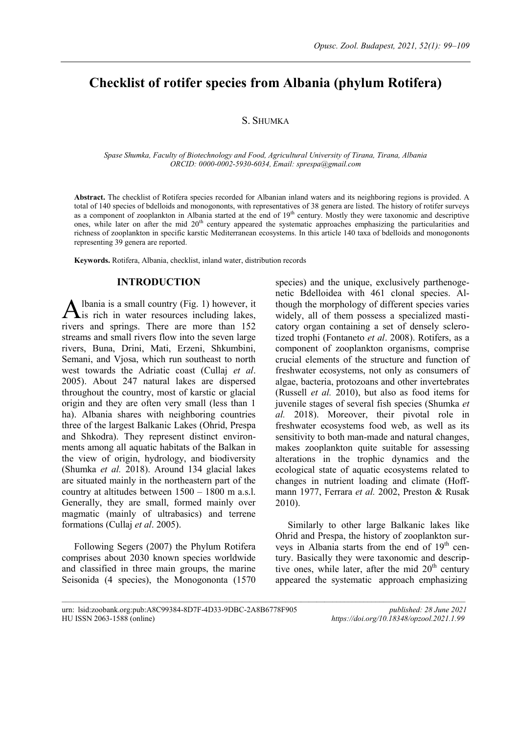# **Checklist of rotifer species from Albania (phylum Rotifera)**

# S. SHUMKA

*Spase Shumka, Faculty of Biotechnology and Food, Agricultural University of Tirana, Tirana, Albania ORCID: 0000-0002-5930-6034, Email: sprespa@gmail.com*

**Abstract.** The checklist of Rotifera species recorded for Albanian inland waters and its neighboring regions is provided. A total of 140 species of bdelloids and monogononts, with representatives of 38 genera are listed. The history of rotifer surveys as a component of zooplankton in Albania started at the end of 19<sup>th</sup> century. Mostly they were taxonomic and descriptive ones, while later on after the mid 20<sup>th</sup> century appeared the systematic approaches emphasizing the particularities and richness of zooplankton in specific karstic Mediterranean ecosystems. In this article 140 taxa of bdelloids and monogononts representing 39 genera are reported.

**Keywords.** Rotifera, Albania, checklist, inland water, distribution records

# **INTRODUCTION**

lbania is a small country (Fig. 1) however, it Albania is a small country (Fig. 1) however, it<br>is rich in water resources including lakes, rivers and springs. There are more than 152 streams and small rivers flow into the seven large rivers, Buna, Drini, Mati, Erzeni, Shkumbini, Semani, and Vjosa, which run southeast to north west towards the Adriatic coast (Cullaj *et al*. 2005). About 247 natural lakes are dispersed throughout the country, most of karstic or glacial origin and they are often very small (less than 1 ha). Albania shares with neighboring countries three of the largest Balkanic Lakes (Ohrid, Prespa and Shkodra). They represent distinct environments among all aquatic habitats of the Balkan in the view of origin, hydrology, and biodiversity (Shumka *et al.* 2018). Around 134 glacial lakes are situated mainly in the northeastern part of the country at altitudes between 1500 – 1800 m a.s.l. Generally, they are small, formed mainly over magmatic (mainly of ultrabasics) and terrene formations (Cullaj *et al*. 2005).

Following Segers (2007) the Phylum Rotifera comprises about 2030 known species worldwide and classified in three main groups, the marine Seisonida (4 species), the Monogononta (1570 species) and the unique, exclusively parthenogenetic Bdelloidea with 461 clonal species. Although the morphology of different species varies widely, all of them possess a specialized masticatory organ containing a set of densely sclerotized trophi (Fontaneto *et al*. 2008). Rotifers, as a component of zooplankton organisms, comprise crucial elements of the structure and function of freshwater ecosystems, not only as consumers of algae, bacteria, protozoans and other invertebrates (Russell *et al.* 2010), but also as food items for juvenile stages of several fish species (Shumka *et al.* 2018). Moreover, their pivotal role in freshwater ecosystems food web, as well as its sensitivity to both man-made and natural changes, makes zooplankton quite suitable for assessing alterations in the trophic dynamics and the ecological state of aquatic ecosystems related to changes in nutrient loading and climate (Hoffmann 1977, Ferrara *et al.* 2002, Preston & Rusak 2010).

Similarly to other large Balkanic lakes like Ohrid and Prespa, the history of zooplankton surveys in Albania starts from the end of  $19<sup>th</sup>$  century. Basically they were taxonomic and descriptive ones, while later, after the mid  $20<sup>th</sup>$  century appeared the systematic approach emphasizing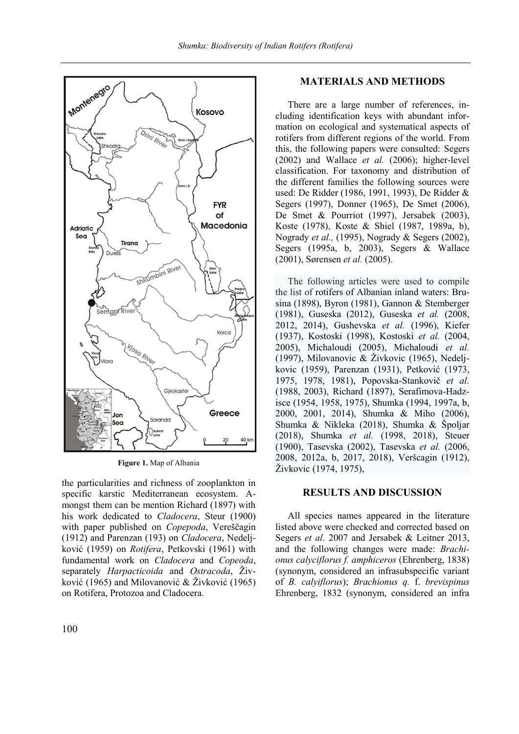

**Figure 1.** Map of Albania

the particularities and richness of zooplankton in specific karstic Mediterranean ecosystem. Amongst them can be mention Richard (1897) with his work dedicated to *Cladocera*, Steur (1900) with paper published on *Copepoda*, Vereščagin (1912) and Parenzan (193) on *Cladocera*, Nedeljković (1959) on *Rotifera*, Petkovski (1961) with fundamental work on *Cladocera* and *Copeoda*, separately *Harpacticoida* and *Ostracoda*, Živković (1965) and Milovanović & Živković (1965) on Rotifera, Protozoa and Cladocera.

# **MATERIALS AND METHODS**

There are a large number of references, including identification keys with abundant information on ecological and systematical aspects of rotifers from different regions of the world. From this, the following papers were consulted: Segers (2002) and Wallace *et al.* (2006); higher-level classification. For taxonomy and distribution of the different families the following sources were used: De Ridder (1986, 1991, 1993), De Ridder & Segers (1997), Donner (1965), De Smet (2006), De Smet & Pourriot (1997), Jersabek (2003), Koste (1978), Koste & Shiel (1987, 1989a, b), Nogrady *et al.,* (1995), Nogrady & Segers (2002), Segers (1995a, b, 2003), Segers & Wallace (2001), Sørensen *et al.* (2005).

The following articles were used to compile the list of rotifers of Albanian inland waters: Brusina (1898), Byron (1981), Gannon & Stemberger (1981), Guseska (2012), Guseska *et al.* (2008, 2012, 2014), Gushevska *et al.* (1996), Kiefer (1937), Kostoski (1998), Kostoski *et al.* (2004, 2005), Michaloudi (2005), Michaloudi *et al.* (1997), Milovanovic & Živkovic (1965), Nedeljkovic (1959), Parenzan (1931), Petković (1973, 1975, 1978, 1981), Popovska-Stankovič *et al.* (1988, 2003), Richard (1897), Serafimova-Hadzisce (1954, 1958, 1975), Shumka (1994, 1997a, b, 2000, 2001, 2014), Shumka & Miho (2006), Shumka & Nikleka (2018), Shumka & Špoljar (2018), Shumka *et al.* (1998, 2018), Steuer (1900), Tasevska (2002), Tasevska *et al.* (2006, 2008, 2012a, b, 2017, 2018), Veršcagin (1912), Živkovic (1974, 1975),

## **RESULTS AND DISCUSSION**

All species names appeared in the literature listed above were checked and corrected based on Segers *et al*. 2007 and Jersabek & Leitner 2013, and the following changes were made: *Brachionus calyciflorus f. amphiceros* (Ehrenberg, 1838) (synonym, considered an infrasubspecific variant of *B. calyiflorus*); *Brachionus q.* f. *brevispinus*  Ehrenberg, 1832 (synonym, considered an infra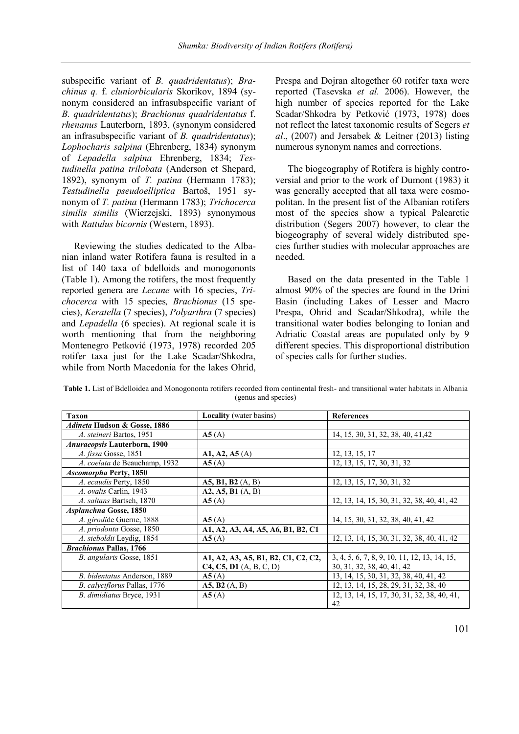subspecific variant of *B. quadridentatus*); *Brachinus q.* f. *cluniorbicularis* Skorikov, 1894 (synonym considered an infrasubspecific variant of *B. quadridentatus*); *Brachionus quadridentatus* f. *rhenanus* Lauterborn, 1893, (synonym considered an infrasubspecific variant of *B. quadridentatus*); *Lophocharis salpina* (Ehrenberg, 1834) synonym of *Lepadella salpina* Ehrenberg, 1834; *Testudinella patina trilobata* (Anderson et Shepard, 1892), synonym of *T. patina* (Hermann 1783); *Testudinella pseudoelliptica* Bartoš, 1951 synonym of *T. patina* (Hermann 1783); *Trichocerca similis similis* (Wierzejski, 1893) synonymous with *Rattulus bicornis* (Western, 1893).

Reviewing the studies dedicated to the Albanian inland water Rotifera fauna is resulted in a list of 140 taxa of bdelloids and monogononts (Table 1). Among the rotifers, the most frequently reported genera are *Lecane* with 16 species, *Trichocerca* with 15 species*, Brachionus* (15 species), *Keratella* (7 species), *Polyarthra* (7 species) and *Lepadella* (6 species). At regional scale it is worth mentioning that from the neighboring Montenegro Petković (1973, 1978) recorded 205 rotifer taxa just for the Lake Scadar/Shkodra, while from North Macedonia for the lakes Ohrid, Prespa and Dojran altogether 60 rotifer taxa were reported (Tasevska *et al.* 2006). However, the high number of species reported for the Lake Scadar/Shkodra by Petković (1973, 1978) does not reflect the latest taxonomic results of Segers *et al*., (2007) and Jersabek & Leitner (2013) listing numerous synonym names and corrections.

The biogeography of Rotifera is highly controversial and prior to the work of Dumont (1983) it was generally accepted that all taxa were cosmopolitan. In the present list of the Albanian rotifers most of the species show a typical Palearctic distribution (Segers 2007) however, to clear the biogeography of several widely distributed species further studies with molecular approaches are needed.

Based on the data presented in the Table 1 almost 90% of the species are found in the Drini Basin (including Lakes of Lesser and Macro Prespa, Ohrid and Scadar/Shkodra), while the transitional water bodies belonging to Ionian and Adriatic Coastal areas are populated only by 9 different species. This disproportional distribution of species calls for further studies.

| <b>Taxon</b>                         | <b>Locality</b> (water basins)      | <b>References</b>                            |
|--------------------------------------|-------------------------------------|----------------------------------------------|
| Adineta Hudson & Gosse, 1886         |                                     |                                              |
| A. steineri Bartos, 1951             | A5(A)                               | 14, 15, 30, 31, 32, 38, 40, 41, 42           |
| <i>Anuraeopsis</i> Lauterborn, 1900  |                                     |                                              |
| A. fissa Gosse, 1851                 | A1, A2, A5(A)                       | 12, 13, 15, 17                               |
| A. coelata de Beauchamp, 1932        | A5(A)                               | 12, 13, 15, 17, 30, 31, 32                   |
| <i><b>Ascomorpha Perty, 1850</b></i> |                                     |                                              |
| A. ecaudis Perty, 1850               | A5, B1, B2 (A, B)                   | 12, 13, 15, 17, 30, 31, 32                   |
| A. ovalis Carlin, 1943               | A2, A5, B1 (A, B)                   |                                              |
| A. saltans Bartsch, 1870             | A5(A)                               | 12, 13, 14, 15, 30, 31, 32, 38, 40, 41, 42   |
| Asplanchna Gosse, 1850               |                                     |                                              |
| A. girodide Guerne, 1888             | A5(A)                               | 14, 15, 30, 31, 32, 38, 40, 41, 42           |
| A. priodonta Gosse, 1850             | A1, A2, A3, A4, A5, A6, B1, B2, C1  |                                              |
| A. sieboldii Leydig, 1854            | A5(A)                               | 12, 13, 14, 15, 30, 31, 32, 38, 40, 41, 42   |
| <b>Brachionus Pallas, 1766</b>       |                                     |                                              |
| B. angularis Gosse, 1851             | A1, A2, A3, A5, B1, B2, C1, C2, C2, | 3, 4, 5, 6, 7, 8, 9, 10, 11, 12, 13, 14, 15, |
|                                      | C4, C5, D1 (A, B, C, D)             | 30, 31, 32, 38, 40, 41, 42                   |
| B. bidentatus Anderson, 1889         | A5(A)                               | 13, 14, 15, 30, 31, 32, 38, 40, 41, 42       |
| B. calyciflorus Pallas, 1776         | A5, B2(A, B)                        | 12, 13, 14, 15, 28, 29, 31, 32, 38, 40       |
| B. dimidiatus Bryce, 1931            | A5(A)                               | 12, 13, 14, 15, 17, 30, 31, 32, 38, 40, 41,  |
|                                      |                                     | 42                                           |

**Table 1.** List of Bdelloidea and Monogononta rotifers recorded from continental fresh- and transitional water habitats in Albania (genus and species)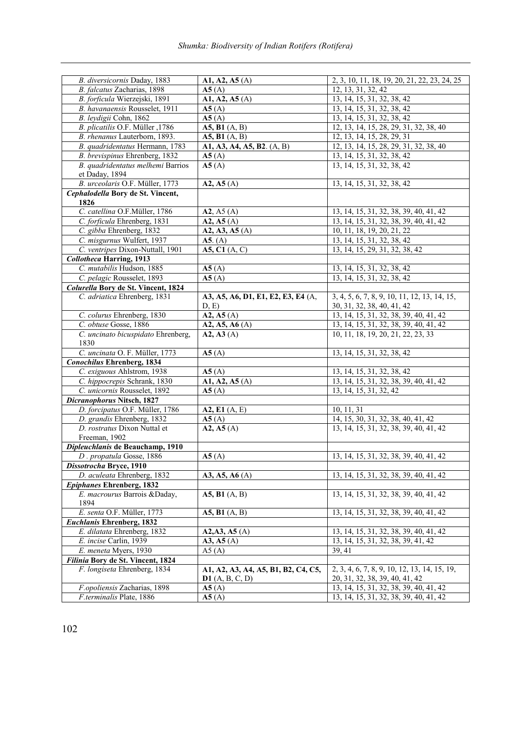| B. diversicornis Daday, 1883        | A1, A2, A5(A)                           | 2, 3, 10, 11, 18, 19, 20, 21, 22, 23, 24, 25 |
|-------------------------------------|-----------------------------------------|----------------------------------------------|
| B. falcatus Zacharias, 1898         | A5(A)                                   | 12, 13, 31, 32, 42                           |
| B. forficula Wierzejski, 1891       | A1, A2, A5(A)                           | 13, 14, 15, 31, 32, 38, 42                   |
| B. havanaensis Rousselet, 1911      | A5(A)                                   | 13, 14, 15, 31, 32, 38, 42                   |
| B. leydigii Cohn, 1862              | A5(A)                                   | 13, 14, 15, 31, 32, 38, 42                   |
| B. plicatilis O.F. Müller , 1786    | $\overline{A5, B1}$ $\overline{(A, B)}$ | 12, 13, 14, 15, 28, 29, 31, 32, 38, 40       |
| B. rhenanus Lauterborn, 1893.       | A5, B1 (A, B)                           | 12, 13, 14, 15, 28, 29, 31                   |
| B. quadridentatus Hermann, 1783     | A1, A3, A4, A5, B2. (A, B)              | 12, 13, 14, 15, 28, 29, 31, 32, 38, 40       |
| B. brevispinus Ehrenberg, 1832      | A5(A)                                   | 13, 14, 15, 31, 32, 38, 42                   |
| B. quadridentatus melhemi Barrios   | A5(A)                                   | 13, 14, 15, 31, 32, 38, 42                   |
| et Daday, 1894                      |                                         |                                              |
| B. urceolaris O.F. Müller, 1773     | A2, A5(A)                               | 13, 14, 15, 31, 32, 38, 42                   |
| Cephalodella Bory de St. Vincent,   |                                         |                                              |
| 1826                                |                                         |                                              |
| C. catellina O.F.Müller, 1786       | A2, A5(A)                               | 13, 14, 15, 31, 32, 38, 39, 40, 41, 42       |
| C. forficula Ehrenberg, 1831        | A2, A5(A)                               | 13, 14, 15, 31, 32, 38, 39, 40, 41, 42       |
| C. gibba Ehrenberg, 1832            | A2, A3, A5(A)                           | 10, 11, 18, 19, 20, 21, 22                   |
| C. misgurnus Wulfert, 1937          | A5. (A)                                 | 13, 14, 15, 31, 32, 38, 42                   |
| C. ventripes Dixon-Nuttall, 1901    | A5, C1 (A, C)                           | 13, 14, 15, 29, 31, 32, 38, 42               |
| <b>Collotheca Harring, 1913</b>     |                                         |                                              |
| C. mutabilis Hudson, 1885           | A5(A)                                   | 13, 14, 15, 31, 32, 38, 42                   |
| C. pelagic Rousselet, 1893          | $\overline{A5(A)}$                      | 13, 14, 15, 31, 32, 38, 42                   |
| Colurella Bory de St. Vincent, 1824 |                                         |                                              |
|                                     | A3, A5, A6, D1, E1, E2, E3, E4 (A,      |                                              |
| C. adriatica Ehrenberg, 1831        |                                         | 3, 4, 5, 6, 7, 8, 9, 10, 11, 12, 13, 14, 15, |
|                                     | D, E                                    | 30, 31, 32, 38, 40, 41, 42                   |
| C. colurus Ehrenberg, 1830          | A2, A5(A)                               | 13, 14, 15, 31, 32, 38, 39, 40, 41, 42       |
| C. obtuse Gosse, 1886               | A2, A5, A6 (A)                          | 13, 14, 15, 31, 32, 38, 39, 40, 41, 42       |
| C. uncinato bicuspidato Ehrenberg,  | A2, A3(A)                               | 10, 11, 18, 19, 20, 21, 22, 23, 33           |
| 1830                                |                                         |                                              |
| C. uncinata O. F. Müller, 1773      | A5(A)                                   | 13, 14, 15, 31, 32, 38, 42                   |
| <b>Conochilus Ehrenberg, 1834</b>   |                                         |                                              |
| C. exiguous Ahlstrom, 1938          | A5(A)                                   | 13, 14, 15, 31, 32, 38, 42                   |
| C. hippocrepis Schrank, 1830        | A1, A2, A5(A)                           | 13, 14, 15, 31, 32, 38, 39, 40, 41, 42       |
| C. unicornis Rousselet, 1892        | A5(A)                                   | 13, 14, 15, 31, 32, 42                       |
| Dicranophorus Nitsch, 1827          |                                         |                                              |
| D. forcipatus O.F. Müller, 1786     | A2, E1 (A, E)                           | 10, 11, 31                                   |
| D. grandis Ehrenberg, 1832          | A5(A)                                   | 14, 15, 30, 31, 32, 38, 40, 41, 42           |
| D. rostratus Dixon Nuttal et        | A2, A5(A)                               | 13, 14, 15, 31, 32, 38, 39, 40, 41, 42       |
| Freeman, 1902                       |                                         |                                              |
| Dipleuchlanis de Beauchamp, 1910    |                                         |                                              |
| D. propatula Gosse, 1886            | $\overline{A5(A)}$                      | 13, 14, 15, 31, 32, 38, 39, 40, 41, 42       |
| Dissotrocha Bryce, 1910             |                                         |                                              |
| D. aculeata Ehrenberg, 1832         | A3, A5, A6 (A)                          | 13, 14, 15, 31, 32, 38, 39, 40, 41, 42       |
| Epiphanes Ehrenberg, 1832           |                                         |                                              |
| E. macrourus Barrois &Daday,        | A5, B1 (A, B)                           | 13, 14, 15, 31, 32, 38, 39, 40, 41, 42       |
| 1894                                |                                         |                                              |
| E. senta O.F. Müller, 1773          | A5, B1 (A, B)                           | 13, 14, 15, 31, 32, 38, 39, 40, 41, 42       |
| <b>Euchlanis Ehrenberg, 1832</b>    |                                         |                                              |
| E. dilatata Ehrenberg, 1832         | A2, A3, A5(A)                           | 13, 14, 15, 31, 32, 38, 39, 40, 41, 42       |
| E. incise Carlin, 1939              | A3, A5(A)                               | 13, 14, 15, 31, 32, 38, 39, 41, 42           |
| E. meneta Myers, 1930               | A5(A)                                   | 39, 41                                       |
| Filinia Bory de St. Vincent, 1824   |                                         |                                              |
| F. longiseta Ehrenberg, 1834        | A1, A2, A3, A4, A5, B1, B2, C4, C5,     | 2, 3, 4, 6, 7, 8, 9, 10, 12, 13, 14, 15, 19, |
|                                     | <b>D1</b> (A, B, C, D)                  | 20, 31, 32, 38, 39, 40, 41, 42               |
| F.opoliensis Zacharias, 1898        | A5(A)                                   | 13, 14, 15, 31, 32, 38, 39, 40, 41, 42       |
| F.terminalis Plate, 1886            | A5(A)                                   | 13, 14, 15, 31, 32, 38, 39, 40, 41, 42       |
|                                     |                                         |                                              |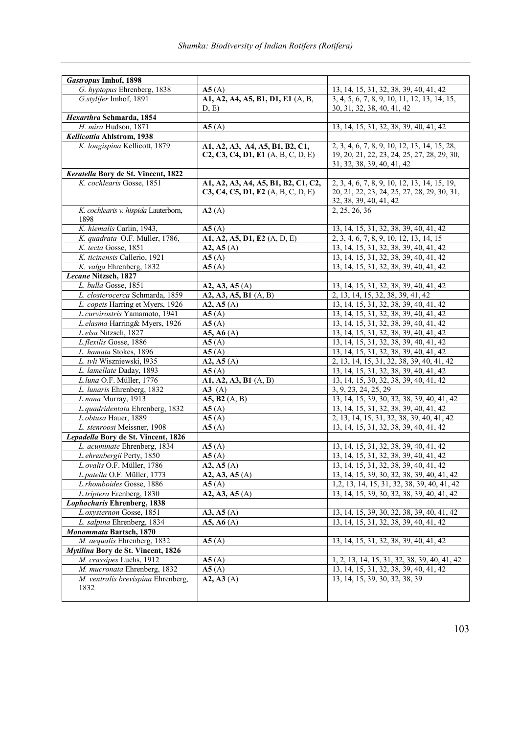| <b>Gastropus Imhof, 1898</b>         |                                     |                                                |
|--------------------------------------|-------------------------------------|------------------------------------------------|
| G. hyptopus Ehrenberg, 1838          | A5(A)                               | 13, 14, 15, 31, 32, 38, 39, 40, 41, 42         |
| G.stylifer Imhof, 1891               | A1, A2, A4, A5, B1, D1, E1 (A, B,   | $3, 4, 5, 6, 7, 8, 9, 10, 11, 12, 13, 14, 15,$ |
| Hexarthra Schmarda, 1854             | D, E                                | 30, 31, 32, 38, 40, 41, 42                     |
| H. mira Hudson, 1871                 |                                     | 13, 14, 15, 31, 32, 38, 39, 40, 41, 42         |
| Kellicottia Ahlstrom, 1938           | A5(A)                               |                                                |
| K. longispina Kellicott, 1879        | A1, A2, A3, A4, A5, B1, B2, C1,     | 2, 3, 4, 6, 7, 8, 9, 10, 12, 13, 14, 15, 28,   |
|                                      | C2, C3, C4, D1, E1 (A, B, C, D, E)  | 19, 20, 21, 22, 23, 24, 25, 27, 28, 29, 30,    |
|                                      |                                     | 31, 32, 38, 39, 40, 41, 42                     |
| Keratella Bory de St. Vincent, 1822  |                                     |                                                |
| K. cochlearis Gosse, 1851            | A1, A2, A3, A4, A5, B1, B2, C1, C2, | 2, 3, 4, 6, 7, 8, 9, 10, 12, 13, 14, 15, 19,   |
|                                      | C3, C4, C5, D1, E2 (A, B, C, D, E)  | 20, 21, 22, 23, 24, 25, 27, 28, 29, 30, 31,    |
|                                      |                                     | 32, 38, 39, 40, 41, 42                         |
| K. cochlearis v. hispida Lauterborn, | A2(A)                               | 2, 25, 26, 36                                  |
| 1898                                 |                                     |                                                |
| K. hiemalis Carlin, 1943,            | A5(A)                               | 13, 14, 15, 31, 32, 38, 39, 40, 41, 42         |
| K. quadrata O.F. Müller, 1786,       | A1, A2, A5, D1, E2 (A, D, E)        | 2, 3, 4, 6, 7, 8, 9, 10, 12, 13, 14, 15        |
| K. tecta Gosse, 1851                 | A2, A5(A)                           | 13, 14, 15, 31, 32, 38, 39, 40, 41, 42         |
| K. ticinensis Callerio, 1921         | A5(A)                               | 13, 14, 15, 31, 32, 38, 39, 40, 41, 42         |
| K. valga Ehrenberg, 1832             | A5(A)                               | 13, 14, 15, 31, 32, 38, 39, 40, 41, 42         |
| Lecane Nitzsch, 1827                 |                                     |                                                |
| L. bulla Gosse, 1851                 | A2, A3, A5(A)                       | 13, 14, 15, 31, 32, 38, 39, 40, 41, 42         |
| L. closterocerca Schmarda, 1859      | A2, A3, A5, B1 (A, B)               | 2, 13, 14, 15, 32, 38, 39, 41, 42              |
| L. copeis Harring et Myers, 1926     | A2, A5(A)                           | 13, 14, 15, 31, 32, 38, 39, 40, 41, 42         |
| L.curvirostris Yamamoto, 1941        | A5(A)                               | 13, 14, 15, 31, 32, 38, 39, 40, 41, 42         |
| L.elasma Harring& Myers, 1926        | A5(A)                               | 13, 14, 15, 31, 32, 38, 39, 40, 41, 42         |
| L.elsa Nitzsch, 1827                 | A5, A6(A)                           | 13, 14, 15, 31, 32, 38, 39, 40, 41, 42         |
| L.flexilis Gosse, 1886               | A5(A)                               | 13, 14, 15, 31, 32, 38, 39, 40, 41, 42         |
| L. hamata Stokes, 1896               | A5(A)                               | 13, 14, 15, 31, 32, 38, 39, 40, 41, 42         |
| L. ivli Wiszniewski, 1935            | A2, A5(A)                           | 2, 13, 14, 15, 31, 32, 38, 39, 40, 41, 42      |
| L. lamellate Daday, 1893             | A5(A)                               | 13, 14, 15, 31, 32, 38, 39, 40, 41, 42         |
| L.luna O.F. Müller, 1776             | A1, A2, A3, B1 (A, B)               | 13, 14, 15, 30, 32, 38, 39, 40, 41, 42         |
| L. lunaris Ehrenberg, 1832           | $\mathbf{A3}$ (A)                   | 3, 9, 23, 24, 25, 29                           |
| L.nana Murray, 1913                  | A5, B2 $(A, B)$                     | 13, 14, 15, 39, 30, 32, 38, 39, 40, 41, 42     |
| L.quadridentata Ehrenberg, 1832      | A5(A)                               | 13, 14, 15, 31, 32, 38, 39, 40, 41, 42         |
| L.obtusa Hauer, 1889                 | A5(A)                               | 2, 13, 14, 15, 31, 32, 38, 39, 40, 41, 42      |
| L. stenroosi Meissner, 1908          | A5(A)                               | 13, 14, 15, 31, 32, 38, 39, 40, 41, 42         |
| Lepadella Bory de St. Vincent, 1826  |                                     |                                                |
| L. acuminate Ehrenberg, 1834         | A5(A)                               | 13, 14, 15, 31, 32, 38, 39, 40, 41, 42         |
| L.ehrenbergii Perty, 1850            | A5(A)                               | 13, 14, 15, 31, 32, 38, 39, 40, 41, 42         |
| L.ovalis O.F. Müller, 1786           | A2, A5(A)                           | 13, 14, 15, 31, 32, 38, 39, 40, 41, 42         |
| L.patella O.F. Müller, 1773          | A2, A3, A5(A)                       | 13, 14, 15, 39, 30, 32, 38, 39, 40, 41, 42     |
| L.rhomboides Gosse, 1886             | A5(A)                               | 1, 2, 13, 14, 15, 31, 32, 38, 39, 40, 41, 42   |
| L.triptera Erenberg, 1830            | A2, A3, A5(A)                       | 13, 14, 15, 39, 30, 32, 38, 39, 40, 41, 42     |
| <b>Lophocharis Ehrenberg, 1838</b>   |                                     |                                                |
| L.oxysternon Gosse, 1851             | A3, A5(A)                           | 13, 14, 15, 39, 30, 32, 38, 39, 40, 41, 42     |
| L. salpina Ehrenberg, 1834           | A5, A6(A)                           | 13, 14, 15, 31, 32, 38, 39, 40, 41, 42         |
| Monommata Bartsch, 1870              |                                     |                                                |
| M. aequalis Ehrenberg, 1832          | A5(A)                               | 13, 14, 15, 31, 32, 38, 39, 40, 41, 42         |
| Mytilina Bory de St. Vincent, 1826   |                                     |                                                |
| M. crassipes Luchs, 1912             | A5(A)                               | 1, 2, 13, 14, 15, 31, 32, 38, 39, 40, 41, 42   |
| M. mucronata Ehrenberg, 1832         | A5(A)                               | 13, 14, 15, 31, 32, 38, 39, 40, 41, 42         |
| M. ventralis brevispina Ehrenberg,   | A2, A3(A)                           | 13, 14, 15, 39, 30, 32, 38, 39                 |
| 1832                                 |                                     |                                                |
|                                      |                                     |                                                |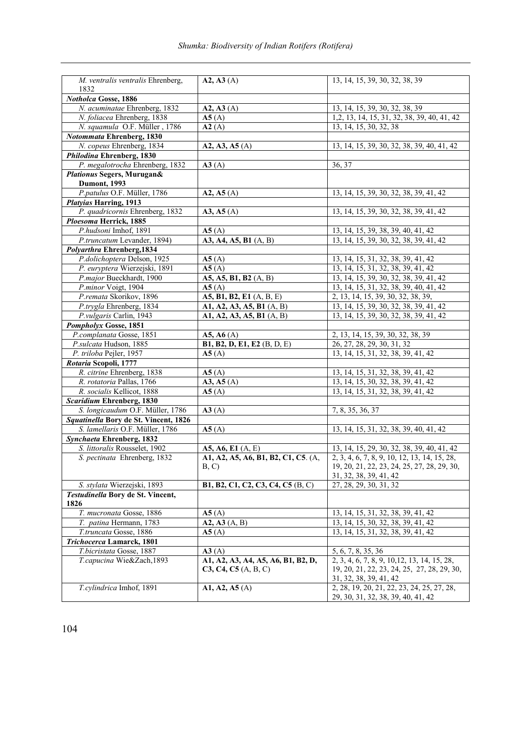*Shumka: Biodiversity of Indian Rotifers (Rotifera)*

| M. ventralis ventralis Ehrenberg,<br>1832 | A2, A3(A)                                     | 13, 14, 15, 39, 30, 32, 38, 39                                                   |
|-------------------------------------------|-----------------------------------------------|----------------------------------------------------------------------------------|
| Notholca Gosse, 1886                      |                                               |                                                                                  |
| N. acuminatae Ehrenberg, 1832             | A2, A3(A)                                     | 13, 14, 15, 39, 30, 32, 38, 39                                                   |
| N. foliacea Ehrenberg, 1838               | A5(A)                                         | 1, 2, 13, 14, 15, 31, 32, 38, 39, 40, 41, 42                                     |
| N. squamula O.F. Müller, 1786             | A2(A)                                         | 13, 14, 15, 30, 32, 38                                                           |
| Notommata Ehrenberg, 1830                 |                                               |                                                                                  |
| N. copeus Ehrenberg, 1834                 | A2, A3, A5 (A)                                | 13, 14, 15, 39, 30, 32, 38, 39, 40, 41, 42                                       |
| Philodina Ehrenberg, 1830                 |                                               |                                                                                  |
| P. megalotrocha Ehrenberg, 1832           | A3(A)                                         | 36, 37                                                                           |
| Plationus Segers, Murugan&                |                                               |                                                                                  |
| <b>Dumont</b> , 1993                      |                                               |                                                                                  |
| P.patulus O.F. Müller, 1786               | A2, A5(A)                                     | 13, 14, 15, 39, 30, 32, 38, 39, 41, 42                                           |
| <b>Platyias Harring, 1913</b>             |                                               |                                                                                  |
| P. quadricornis Ehrenberg, 1832           | A3, A5(A)                                     | 13, 14, 15, 39, 30, 32, 38, 39, 41, 42                                           |
| Ploesoma Herrick, 1885                    |                                               |                                                                                  |
| P.hudsoni Imhof, 1891                     | A5(A)                                         | 13, 14, 15, 39, 38, 39, 40, 41, 42                                               |
| P.truncatum Levander, 1894)               | A3, A4, A5, B1 (A, B)                         | 13, 14, 15, 39, 30, 32, 38, 39, 41, 42                                           |
| Polyarthra Ehrenberg, 1834                |                                               |                                                                                  |
| P.dolichoptera Delson, 1925               | A5(A)                                         | 13, 14, 15, 31, 32, 38, 39, 41, 42                                               |
| P. euryptera Wierzejski, 1891             | A5(A)                                         | 13, 14, 15, 31, 32, 38, 39, 41, 42                                               |
| P.major Bueckhardt, 1900                  | A5, A5, B1, B2 $(\overline{A}, \overline{B})$ | 13, 14, 15, 39, 30, 32, 38, 39, 41, 42                                           |
| P.minor Voigt, 1904                       | A5(A)                                         | 13, 14, 15, 31, 32, 38, 39, 40, 41, 42                                           |
| P.remata Skorikov, 1896                   | A5, B1, B2, E1 (A, B, E)                      | 2, 13, 14, 15, 39, 30, 32, 38, 39,                                               |
| P.trygla Ehrenberg, 1834                  | A1, A2, A3, A5, B1 (A, B)                     | 13, 14, 15, 39, 30, 32, 38, 39, 41, 42                                           |
| P.vulgaris Carlin, 1943                   | A1, A2, A3, A5, B1 (A, B)                     | 13, 14, 15, 39, 30, 32, 38, 39, 41, 42                                           |
| Pompholyx Gosse, 1851                     |                                               |                                                                                  |
| P.complanata Gosse, 1851                  | A5, A6(A)                                     | 2, 13, 14, 15, 39, 30, 32, 38, 39                                                |
| P.sulcata Hudson, 1885                    | <b>B1, B2, D, E1, E2</b> (B, D, E)            | 26, 27, 28, 29, 30, 31, 32                                                       |
| P. triloba Pejler, 1957                   | A5(A)                                         | 13, 14, 15, 31, 32, 38, 39, 41, 42                                               |
| Rotaria Scopoli, 1777                     |                                               |                                                                                  |
| R. citrine Ehrenberg, 1838                | A5(A)                                         | 13, 14, 15, 31, 32, 38, 39, 41, 42                                               |
| R. rotatoria Pallas, 1766                 | A3, A5(A)                                     | 13, 14, 15, 30, 32, 38, 39, 41, 42                                               |
| R. socialis Kellicot, 1888                | A5(A)                                         | 13, 14, 15, 31, 32, 38, 39, 41, 42                                               |
| <b>Scaridium Ehrenberg, 1830</b>          |                                               |                                                                                  |
| S. longicaudum O.F. Müller, 1786          | A3(A)                                         | 7, 8, 35, 36, 37                                                                 |
| Squatinella Bory de St. Vincent, 1826     |                                               |                                                                                  |
| S. lamellaris O.F. Müller, 1786           | A5(A)                                         | 13, 14, 15, 31, 32, 38, 39, 40, 41, 42                                           |
| Synchaeta Ehrenberg, 1832                 |                                               |                                                                                  |
| S. littoralis Rousselet, 1902             | A5, A6, E1 (A, E)                             | 13, 14, 15, 29, 30, 32, 38, 39, 40, 41, 42                                       |
| S. pectinata Ehrenberg, 1832              | A1, A2, A5, A6, B1, B2, C1, C5. (A,           | 2, 3, 4, 6, 7, 8, 9, 10, 12, 13, 14, 15, 28,                                     |
|                                           | B, C)                                         | 19, 20, 21, 22, 23, 24, 25, 27, 28, 29, 30,                                      |
|                                           |                                               | 31, 32, 38, 39, 41, 42                                                           |
| S. stylata Wierzejski, 1893               | <b>B1, B2, C1, C2, C3, C4, C5</b> (B, C)      | 27, 28, 29, 30, 31, 32                                                           |
| Testudinella Bory de St. Vincent,<br>1826 |                                               |                                                                                  |
| T. mucronata Gosse, 1886                  | A5(A)                                         | 13, 14, 15, 31, 32, 38, 39, 41, 42                                               |
| T. patina Hermann, 1783                   | A2, A3(A, B)                                  | 13, 14, 15, 30, 32, 38, 39, 41, 42                                               |
| T.truncata Gosse, 1886                    | A5(A)                                         | 13, 14, 15, 31, 32, 38, 39, 41, 42                                               |
| Trichocerca Lamarck, 1801                 |                                               |                                                                                  |
| T.bicristata Gosse, 1887                  | A3(A)                                         | 5, 6, 7, 8, 35, 36                                                               |
| T.capucina Wie&Zach,1893                  | A1, A2, A3, A4, A5, A6, B1, B2, D,            | 2, 3, 4, 6, 7, 8, 9, 10, 12, 13, 14, 15, 28,                                     |
|                                           | C3, C4, C5 (A, B, C)                          | 19, 20, 21, 22, 23, 24, 25, 27, 28, 29, 30,                                      |
|                                           |                                               | 31, 32, 38, 39, 41, 42                                                           |
| T.cylindrica Imhof, 1891                  | A1, A2, A5(A)                                 | 2, 28, 19, 20, 21, 22, 23, 24, 25, 27, 28,<br>29, 30, 31, 32, 38, 39, 40, 41, 42 |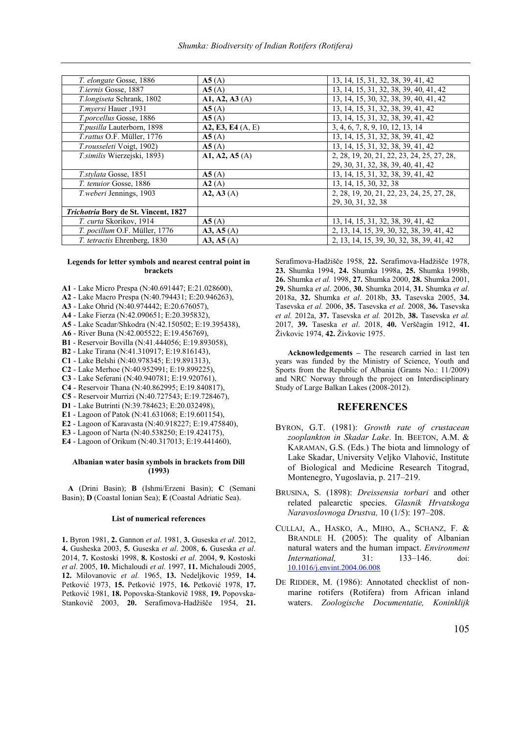*Shumka: Biodiversity of Indian Rotifers (Rotifera)*

| T. elongate Gosse, 1886                     | A5(A)             | 13, 14, 15, 31, 32, 38, 39, 41, 42         |
|---------------------------------------------|-------------------|--------------------------------------------|
| T.iernis Gosse, 1887                        | A5(A)             | 13, 14, 15, 31, 32, 38, 39, 40, 41, 42     |
| T.longiseta Schrank, 1802                   | A1, A2, A3(A)     | 13, 14, 15, 30, 32, 38, 39, 40, 41, 42     |
| T.myersi Hauer, 1931                        | A5(A)             | 13, 14, 15, 31, 32, 38, 39, 41, 42         |
| T.porcellus Gosse, 1886                     | A5(A)             | 13, 14, 15, 31, 32, 38, 39, 41, 42         |
| T.pusilla Lauterborn, 1898                  | A2, E3, E4 (A, E) | 3, 4, 6, 7, 8, 9, 10, 12, 13, 14           |
| T.rattus O.F. Müller, 1776                  | A5(A)             | 13, 14, 15, 31, 32, 38, 39, 41, 42         |
| T.rousseleti Voigt, 1902)                   | A5(A)             | 13, 14, 15, 31, 32, 38, 39, 41, 42         |
| T.similis Wierzejski, 1893)                 | A1, A2, A5(A)     | 2, 28, 19, 20, 21, 22, 23, 24, 25, 27, 28, |
|                                             |                   | 29, 30, 31, 32, 38, 39, 40, 41, 42         |
| T.stylata Gosse, 1851                       | A5(A)             | 13, 14, 15, 31, 32, 38, 39, 41, 42         |
| T. tenuior Gosse, 1886                      | A2(A)             | 13, 14, 15, 30, 32, 38                     |
| T.weberi Jennings, 1903                     | A2, A3(A)         | 2, 28, 19, 20, 21, 22, 23, 24, 25, 27, 28, |
|                                             |                   | 29, 30, 31, 32, 38                         |
| <i>Trichotria Bory de St. Vincent, 1827</i> |                   |                                            |
| T. curta Skorikov, 1914                     | A5(A)             | 13, 14, 15, 31, 32, 38, 39, 41, 42         |
| T. pocillum O.F. Müller, 1776               | A3, A5(A)         | 2, 13, 14, 15, 39, 30, 32, 38, 39, 41, 42  |
| T. tetractis Ehrenberg, 1830                | A3, A5(A)         | 2, 13, 14, 15, 39, 30, 32, 38, 39, 41, 42  |

#### **Legends for letter symbols and nearest central point in brackets**

- **A1** Lake Micro Prespa (N:40.691447; E:21.028600),
- **A2** Lake Macro Prespa (N:40.794431; E:20.946263),
- **A3** Lake Ohrid (N:40.974442; E:20.676057),
- **A4** Lake Fierza (N:42.090651; E:20.395832),
- **A5** Lake Scadar/Shkodra (N:42.150502; E:19.395438),
- **A6** River Buna (N:42.005522; E:19.456769),
- **B1** Reservoir Bovilla (N:41.444056; E:19.893058),
- **B2** Lake Tirana (N:41.310917; E:19.816143),
- **C1** Lake Belshi (N:40.978345; E:19.891313),
- **C2** Lake Merhoe (N:40.952991; E:19.899225),
- **C3** Lake Seferani (N:40.940781; E:19.920761),
- **C4** Reservoir Thana (N:40.862995; E:19.840817), **C5** - Reservoir Murrizi (N:40.727543; E:19.728467),
- 
- **D1** Lake Butrinti (N:39.784623; E:20.032498),
- **E1** Lagoon of Patok (N:41.631068; E:19.601154),
- **E2** Lagoon of Karavasta (N:40.918227; E:19.475840), **E3** - Lagoon of Narta (N:40.538250; E:19.424175),
- **E4** Lagoon of Orikum (N:40.317013; E:19.441460),

#### **Albanian water basin symbols in brackets from Dill (1993)**

**A** (Drini Basin); **B** (Ishmi/Erzeni Basin); **C** (Semani Basin); **D** (Coastal Ionian Sea); **E** (Coastal Adriatic Sea).

### **List of numerical references**

**1.** Byron 1981, **2.** Gannon *et al*. 1981, **3.** Guseska *et al*. 2012, **4.** Gusheska 2003, **5.** Guseska *et al*. 2008, **6.** Guseska *et al*. 2014, **7.** Kostoski 1998, **8.** Kostoski *et al*. 2004, **9.** Kostoski *et al*. 2005, **10.** Michaloudi *et al.* 1997, **11.** Michaloudi 2005, **12.** Milovanovic *et al.* 1965, **13.** Nedeljkovic 1959, **14.** Petković 1973, **15.** Petković 1975, **16.** Petković 1978, **17.** Petković 1981, **18.** Popovska-Stankovič 1988, **19.** Popovska-Stankovič 2003, **20.** Serafimova-Hadžišče 1954, **21.** Serafimova-Hadžišče 1958, **22.** Serafimova-Hadžišče 1978, **23.** Shumka 1994, **24.** Shumka 1998a, **25.** Shumka 1998b, **26.** Shumka *et al.* 1998, **27.** Shumka 2000, **28.** Shumka 2001, **29.** Shumka *et al*. 2006, **30.** Shumka 2014, **31.** Shumka *et al*. 2018a, **32.** Shumka *et al*. 2018b, **33.** Tasevska 2005, **34.** Tasevska *et al.* 2006, **35.** Tasevska *et al.* 2008, **36.** Tasevska *et al.* 2012a, **37.** Tasevska *et al.* 2012b, **38.** Tasevska *et al.* 2017, **39.** Taseska *et al*. 2018, **40.** Verščagin 1912, **41.** Živkovic 1974, **42.** Živkovic 1975.

**Acknowledgements –** The research carried in last ten years was funded by the Ministry of Science, Youth and Sports from the Republic of Albania (Grants No.: 11/2009) and NRC Norway through the project on Interdisciplinary Study of Large Balkan Lakes (2008-2012).

## **REFERENCES**

- BYRON, G.T. (1981): *Growth rate of crustacean zooplankton in Skadar Lake*. In. BEETON, A.M. & KARAMAN, G.S. (Eds.) The biota and limnology of Lake Skadar, University Veljko Vlahović, Institute of Biological and Medicine Research Titograd, Montenegro, Yugoslavia, p. 217–219.
- BRUSINA, S. (1898): *Dreissensia torbari* and other related palearctic species. *Glasnik Hrvatskoga Naravoslovnoga Drustva,* 10 (1/5): 197–208.
- CULLAJ, A., HASKO, A., MIHO, A., SCHANZ, F. & BRANDLE H. (2005): The quality of Albanian natural waters and the human impact. *Environment International,* 31: 133–146. doi: [10.1016/j.envint.2004.06.008](https://www.researchgate.net/deref/http%3A%2F%2Fdx.doi.org%2F10.1016%2Fj.envint.2004.06.008?_sg%5B0%5D=XMDKsB0ztosOtRabkMLdslzojy0afTxTpnhW9qt7CjvBdHI_g4bt-QDivFfvucY_7h7k9fK4nMhxn54BKW2kwXo9Ww.PLaCTrw80n5dSbHusTGvnPlum7DIejk-84W9rqgVz7ckgWmcmKInlTAk3zE17bNonxD2uO_A8cJ6a8DrNKAzfg)
- DE RIDDER, M. (1986): Annotated checklist of nonmarine rotifers (Rotifera) from African inland waters. *Zoologische Documentatie, Koninklijk*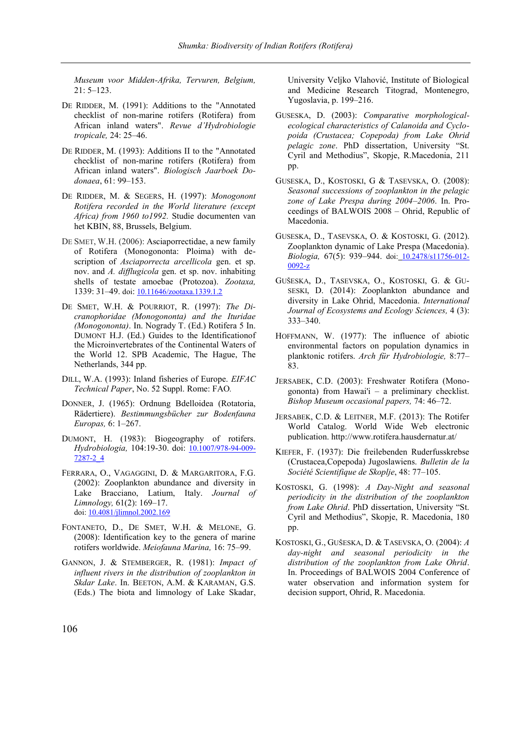*Museum voor Midden-Afrika, Tervuren, Belgium,* 21: 5–123.

- DE RIDDER, M. (1991): Additions to the "Annotated checklist of non-marine rotifers (Rotifera) from African inland waters". *Revue d'Hydrobiologie tropicale,* 24: 25–46.
- DE RIDDER, M. (1993): Additions II to the "Annotated checklist of non-marine rotifers (Rotifera) from African inland waters". *Biologisch Jaarboek Dodonaea*, 61: 99–153.
- DE RIDDER, M. & SEGERS, H. (1997): *Monogonont Rotifera recorded in the World literature (except Africa) from 1960 to1992.* Studie documenten van het KBIN, 88, Brussels, Belgium.
- DE SMET, W.H. (2006): Asciaporrectidae, a new family of Rotifera (Monogononta: Ploima) with description of *Asciaporrecta arcellicola* gen. et sp. nov. and *A. difflugicola* gen. et sp. nov. inhabiting shells of testate amoebae (Protozoa). *Zootaxa,* 1339: 31–49. doi: [10.11646/zootaxa.1339.1.2](https://doi.org/10.11646/zootaxa.1339.1.2)
- DE SMET, W.H. & POURRIOT, R. (1997): *The Dicranophoridae (Monogononta) and the Ituridae (Monogononta)*. In. Nogrady T. (Ed.) Rotifera 5 In. DUMONT H.J. (Ed.) Guides to the Identificationof the Microinvertebrates of the Continental Waters of the World 12. SPB Academic, The Hague, The Netherlands, 344 pp.
- DILL, W.A. (1993): Inland fisheries of Europe. *EIFAC Technical Paper*, No. 52 Suppl. Rome: FAO*.*
- DONNER, J. (1965): Ordnung Bdelloidea (Rotatoria, Rädertiere). *Bestimmungsbücher zur Bodenfauna Europas,* 6: 1–267.
- DUMONT, H. (1983): Biogeography of rotifers. *Hydrobiologia,* 104:19-30. doi: [10.1007/978-94-009-](http://dx.doi.org/10.1007/978-94-009-7287-2_4) [7287-2\\_4](http://dx.doi.org/10.1007/978-94-009-7287-2_4)
- FERRARA, O., VAGAGGINI, D. & MARGARITORA, F.G. (2002): Zooplankton abundance and diversity in Lake Bracciano, Latium, Italy. *Journal of Limnology,* 61(2): 169–17. doi: [10.4081/jlimnol.2002.169](https://doi.org/10.4081/jlimnol.2002.169)
- FONTANETO, D., DE SMET, W.H. & MELONE, G. (2008): Identification key to the genera of marine rotifers worldwide. *Meiofauna Marina,* 16: 75–99.
- GANNON, J. & STEMBERGER, R. (1981): *Impact of influent rivers in the distribution of zooplankton in Skdar Lake*. In. BEETON, A.M. & KARAMAN, G.S. (Eds.) The biota and limnology of Lake Skadar,

University Veljko Vlahović, Institute of Biological and Medicine Research Titograd, Montenegro, Yugoslavia, p. 199–216.

- GUSESKA, D. (2003): *Comparative morphologicalecological characteristics of Calanoida and Cyclopoida (Crustacea; Copepoda) from Lake Ohrid pelagic zone*. PhD dissertation, University "St. Cyril and Methodius", Skopje, R.Macedonia, 211 pp.
- GUSESKA, D., KOSTOSKI, G & TASEVSKA, O. (2008): *Seasonal successions of zooplankton in the pelagic zone of Lake Prespa during 2004–2006*. In. Proceedings of BALWOIS 2008 – Ohrid, Republic of Macedonia.
- GUSESKA, D., TASEVSKA, O. & KOSTOSKI, G. (2012). Zooplankton dynamic of Lake Prespa (Macedonia). *Biologia,* 67(5): 939–944. doi: [10.2478/s11756-012-](https://doi.org/10.2478/s11756-012-0092-z) [0092-z](https://doi.org/10.2478/s11756-012-0092-z)
- GUŠESKA, D., TASEVSKA, O., KOSTOSKI, G. & GU-SESKI, D. (2014): Zooplankton abundance and diversity in Lake Ohrid, Macedonia. *International Journal of Ecosystems and Ecology Sciences,* 4 (3): 333–340.
- HOFFMANN, W. (1977): The influence of abiotic environmental factors on population dynamics in planktonic rotifers. *Arch für Hydrobiologie,* 8:77– 83.
- JERSABEK, C.D. (2003): Freshwater Rotifera (Monogononta) from Hawai'i – a preliminary checklist. *Bishop Museum occasional papers,* 74: 46–72.
- JERSABEK, C.D. & LEITNER, M.F. (2013): The Rotifer World Catalog. World Wide Web electronic publication.<http://www.rotifera.hausdernatur.at/>
- KIEFER, F. (1937): Die freilebenden Ruderfusskrebse (Crustacea,Copepoda) Jugoslawiens. *Bulletin de la Société Scientifique de Skoplje*, 48: 77–105.
- KOSTOSKI, G. (1998): *A Day-Night and seasonal periodicity in the distribution of the zooplankton from Lake Ohrid*. PhD dissertation, University "St. Cyril and Methodius", Skopje, R. Macedonia, 180 pp.
- KOSTOSKI, G., GUŠESKA, D. & TASEVSKA, O. (2004): *A day-night and seasonal periodicity in the distribution of the zooplankton from Lake Ohrid*. In. Proceedings of BALWOIS 2004 Conference of water observation and information system for decision support, Ohrid, R. Macedonia.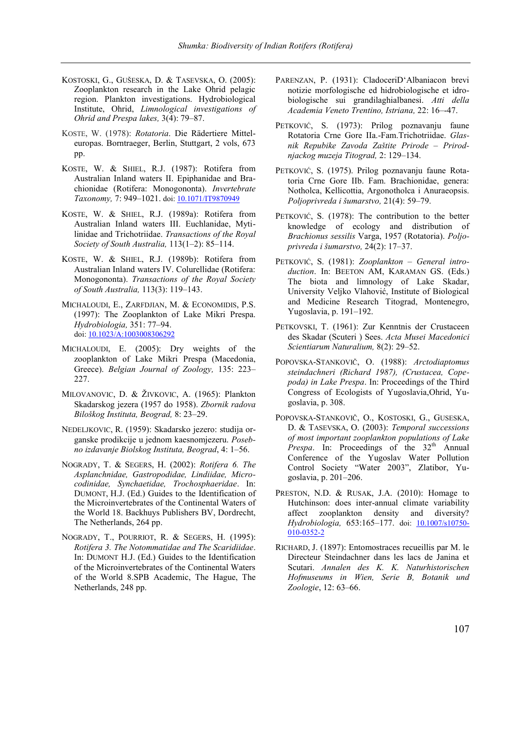- KOSTOSKI, G., GUŠESKA, D. & TASEVSKA, O. (2005): Zooplankton research in the Lake Ohrid pelagic region. Plankton investigations. Hydrobiological Institute, Ohrid, *Limnological investigations of Ohrid and Prespa lakes,* 3(4): 79–87.
- KOSTE, W. (1978): *Rotatoria*. Die Rädertiere Mitteleuropas. Borntraeger, Berlin, Stuttgart, 2 vols, 673 pp.
- KOSTE, W. & SHIEL, R.J. (1987): Rotifera from Australian Inland waters II. Epiphanidae and Brachionidae (Rotifera: Monogononta). *Invertebrate*  Taxonomy, 7: 949-1021. doi[: 10.1071/IT9870949](https://doi.org/10.1071/IT9870949)
- KOSTE, W. & SHIEL, R.J. (1989a): Rotifera from Australian Inland waters III. Euchlanidae, Mytilinidae and Trichotriidae. *Transactions of the Royal Society of South Australia,* 113(1–2): 85–114.
- KOSTE, W. & SHIEL, R.J. (1989b): Rotifera from Australian Inland waters IV. Colurellidae (Rotifera: Monogononta). *Transactions of the Royal Society of South Australia,* 113(3): 119–143.
- MICHALOUDI, E., ZARFDJIAN, M. & ECONOMIDIS, P.S. (1997): The Zooplankton of Lake Mikri Prespa. *Hydrobiologia,* 351: 77–94. doi[: 10.1023/A:1003008306292](https://doi.org/10.1023/A:1003008306292)
- MICHALOUDI, E. (2005): Dry weights of the zooplankton of Lake Mikri Prespa (Macedonia, Greece). *Belgian Journal of Zoology,* 135: 223– 227.
- MILOVANOVIC, D. & ŽIVKOVIC, A. (1965): Plankton Skadarskog jezera (1957 do 1958). *Zbornik radova Biloškog Instituta, Beograd,* 8: 23–29.
- NEDELJKOVIC, R. (1959): Skadarsko jezero: studija organske prodikcije u jednom kaesnomjezeru. *Posebno izdavanje Biolskog Instituta, Beograd*, 4: 1–56.
- NOGRADY, T. & SEGERS, H. (2002): *Rotifera 6. The Asplanchnidae, Gastropodidae, Lindiidae, Microcodinidae, Synchaetidae, Trochosphaeridae*. In: DUMONT, H.J. (Ed.) Guides to the Identification of the Microinvertebrates of the Continental Waters of the World 18. Backhuys Publishers BV, Dordrecht, The Netherlands, 264 pp.
- NOGRADY, T., POURRIOT, R. & SEGERS, H. (1995): *Rotifera 3. The Notommatidae and The Scaridiidae*. In: DUMONT H.J. (Ed.) Guides to the Identification of the Microinvertebrates of the Continental Waters of the World 8.SPB Academic, The Hague, The Netherlands, 248 pp.
- PARENZAN, P. (1931): CladoceriD'Albaniacon brevi notizie morfologische ed hidrobiologische et idrobiologische sui grandilaghialbanesi. *Atti della Academia Veneto Trentino, Istriana,* 22: 16–-47.
- PETKOVIĆ, S. (1973): Prilog poznavanju faune Rotatoria Crne Gore IIa.-Fam.Trichotriidae. *Glasnik Repubike Zavoda Zaštite Prirode – Prirodnjackog muzeja Titograd,* 2: 129–134.
- PETKOVIĆ, S. (1975). Prilog poznavanju faune Rotatoria Crne Gore IIb. Fam. Brachionidae, genera: Notholca, Kellicottia, Argonotholca i Anuraeopsis. *Poljoprivreda i šumarstvo,* 21(4): 59–79.
- PETKOVIĆ, S. (1978): The contribution to the better knowledge of ecology and distribution of *Brachionus sessilis* Varga, 1957 (Rotatoria). *Poljoprivreda i šumarstvo,* 24(2): 17–37.
- PETKOVIĆ, S. (1981): *Zooplankton – General introduction*. In: BEETON AM, KARAMAN GS. (Eds.) The biota and limnology of Lake Skadar, University Veljko Vlahović, Institute of Biological and Medicine Research Titograd, Montenegro, Yugoslavia, p. 191–192.
- PETKOVSKI, T. (1961): Zur Kenntnis der Crustaceen des Skadar (Scuteri ) Sees. *Acta Musei Macedonici Scientiarum Naturalium,* 8(2): 29–52.
- POPOVSKA-STANKOVIČ, O. (1988): *Arctodiaptomus steindachneri (Richard 1987), (Crustacea, Copepoda) in Lake Prespa*. In: Proceedings of the Third Congress of Ecologists of Yugoslavia,Ohrid, Yugoslavia, p. 308.
- POPOVSKA-STANKOVIČ, O., KOSTOSKI, G., GUSESKA, D. & TASEVSKA, O. (2003): *Temporal successions of most important zooplankton populations of Lake Prespa*. In: Proceedings of the 32<sup>th</sup> Annual Conference of the Yugoslav Water Pollution Control Society "Water 2003", Zlatibor, Yugoslavia, p. 201–206.
- PRESTON, N.D. & RUSAK, J.A. (2010): Homage to Hutchinson: does inter-annual climate variability affect zooplankton density and diversity? *Hydrobiologia,* 653:165–177. doi: [10.1007/s10750-](https://doi.org/10.1007/s10750-010-0352-2) [010-0352-2](https://doi.org/10.1007/s10750-010-0352-2)
- RICHARD, J. (1897): Entomostraces recueillis par M. le Directeur Steindachner dans les lacs de Janina et Scutari. *Annalen des K. K. Naturhistorischen Hofmuseums in Wien, Serie B, Botanik und Zoologie*, 12: 63–66.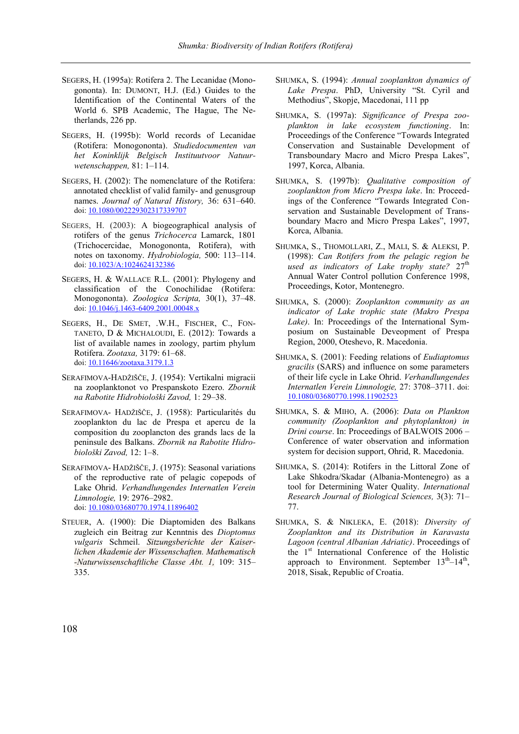- SEGERS, H. (1995a): Rotifera 2. The Lecanidae (Monogononta). In: DUMONT, H.J. (Ed.) Guides to the Identification of the Continental Waters of the World 6. SPB Academic, The Hague, The Netherlands, 226 pp.
- SEGERS, H. (1995b): World records of Lecanidae (Rotifera: Monogononta). *Studiedocumenten van het Koninklijk Belgisch Instituutvoor Natuurwetenschappen,* 81: 1–114.
- SEGERS, H. (2002): The nomenclature of the Rotifera: annotated checklist of valid family- and genusgroup names. *Journal of Natural History,* 36: 631–640. doi[: 10.1080/002229302317339707](https://www.researchgate.net/deref/http%3A%2F%2Fdx.doi.org%2F10.1080%2F002229302317339707?_sg%5B0%5D=TSMbsQJCnPJRo86rNqSwWTkiAg1-ngJlVDruDeDEFhSaGrBN6R-89sxorvh8ILmLd0aQZuJ-CO0IqRVWjA_v9mWL_A.TGfFJtOvkRGGqKEgq5hGU00yuZv95TRZTiYpT_6x1fML252pDxq8nT00CX6MtUopuwNEQ5fQVOmEbhgtpD_4sA)
- SEGERS, H. (2003): A biogeographical analysis of rotifers of the genus *Trichocerca* Lamarck, 1801 (Trichocercidae, Monogononta, Rotifera), with notes on taxonomy. *Hydrobiologia,* 500: 113–114. doi[: 10.1023/A:1024624132386](https://www.researchgate.net/deref/http%3A%2F%2Fdx.doi.org%2F10.1023%2FA%3A1024624132386?_sg%5B0%5D=6OSSpXv_s3w_7mV5N_ljH6oaigrB8SlnmbJpjJg_EKc6Lgk67NTA2QoWH1ZCBCRH49_qR8QhGce6yxQmxPYpUyBW6A.cbSeEHwZ1P8qAZ9hZ9fkz7nLlg93JKyNZAVaoGbfjcYt6N7uZg_ddGHXzMechBuvGYYOkr1ZlvuWCvptv6wbcQ)
- SEGERS, H. & WALLACE R.L. (2001): Phylogeny and classification of the Conochilidae (Rotifera: Monogononta). *Zoologica Scripta,* 30(1), 37–48. [doi: 10.1046/j.1463-6409.2001.00048.x](https://doi.org/10.1046/j.1463-6409.2001.00048.x)
- SEGERS, H., DE SMET, .W.H., FISCHER, C., FON-TANETO, D & MICHALOUDI, E. (2012): Towards a list of available names in zoology, partim phylum Rotifera. *Zootaxa,* 3179: 61–68. doi[: 10.11646/zootaxa.3179.1.3](https://www.researchgate.net/deref/http%3A%2F%2Fdx.doi.org%2F10.11646%2Fzootaxa.3179.1.3?_sg%5B0%5D=OjqwDC1242DqReZcCyNI0M8UEshvQTn9Tzaiyy53p3Nv4QvCQDmFQnPNWc8cDhGG_KaFRt0X1X8gJNcw4UBV6Aki_A.SbVuNRqszfy5d22mY2TG6z4IHhRhcIUwzfnOIVPc4q__A7ynTFpNIIPYdunLxi_FGgZqJ-StgwsPdn-09TXZ7g)
- SERAFIMOVA-HADŽIŠČE, J. (1954): Vertikalni migracii na zooplanktonot vo Prespanskoto Ezero. *Zbornik na Rabotite Hidrobiološki Zavod,* 1: 29–38.
- SERAFIMOVA- HADŽIŠČE, J. (1958): Particularités du zooplankton du lac de Prespa et apercu de la composition du zooplancton des grands lacs de la peninsule des Balkans. *Zbornik na Rabotite Hidrobiološki Zavod,* 12: 1–8.
- SERAFIMOVA- HADŽIŠČE, J. (1975): Seasonal variations of the reproductive rate of pelagic copepods of Lake Ohrid. *Verhandlungendes Internatlen Verein Limnologie,* 19: 2976–2982. doi[: 10.1080/03680770.1974.11896402](https://doi.org/10.1080/03680770.1974.11896402)
- STEUER, A. (1900): Die Diaptomiden des Balkans zugleich ein Beitrag zur Kenntnis des *Dioptomus vulgaris* Schmeil. *Sitzungsberichte der Kaiserlichen Akademie der Wissenschaften. Mathematisch -Naturwissenschaftliche Classe Abt. 1,* 109: 315– 335.
- SHUMKA, S. (1994): *Annual zooplankton dynamics of Lake Prespa*. PhD, University "St. Cyril and Methodius", Skopje, Macedonai, 111 pp
- SHUMKA, S. (1997a): *Significance of Prespa zooplankton in lake ecosystem functioning*. In: Proceedings of the Conference "Towards Integrated Conservation and Sustainable Development of Transboundary Macro and Micro Prespa Lakes", 1997, Korca, Albania.
- SHUMKA, S. (1997b): *Qualitative composition of zooplankton from Micro Prespa lake*. In: Proceedings of the Conference "Towards Integrated Conservation and Sustainable Development of Transboundary Macro and Micro Prespa Lakes", 1997, Korca, Albania.
- SHUMKA, S., THOMOLLARI, Z., MALI, S. & ALEKSI, P. (1998): *Can Rotifers from the pelagic region be*  used as indicators of Lake trophy state? 27<sup>th</sup> Annual Water Control pollution Conference 1998, Proceedings, Kotor, Montenegro.
- SHUMKA, S. (2000): *Zooplankton community as an indicator of Lake trophic state (Makro Prespa Lake)*. In: Proceedings of the International Symposium on Sustainable Deveopment of Prespa Region, 2000, Oteshevo, R. Macedonia.
- SHUMKA, S. (2001): Feeding relations of *Eudiaptomus gracilis* (SARS) and influence on some parameters of their life cycle in Lake Ohrid. *Verhandlungendes Internatlen Verein Limnologie,* 27: 3708–3711. doi: [10.1080/03680770.1998.11902523](hhttps://doi.org/10.1080/03680770.1998.11902523)
- SHUMKA, S. & MIHO, A. (2006): *Data on Plankton community (Zooplankton and phytoplankton) in Drini course*. In: Proceedings of BALWOIS 2006 – Conference of water observation and information system for decision support, Ohrid, R. Macedonia.
- SHUMKA, S. (2014): Rotifers in the Littoral Zone of Lake Shkodra/Skadar (Albania-Montenegro) as a tool for Determining Water Quality. *International Research Journal of Biological Sciences,* 3(3): 71– 77.
- SHUMKA, S. & NIKLEKA, E. (2018): *Diversity of Zooplankton and its Distribution in Karavasta Lagoon (central Albanian Adriatic)*. Proceedings of the 1st International Conference of the Holistic approach to Environment. September  $13^{th} - 14^{th}$ , 2018, Sisak, Republic of Croatia.